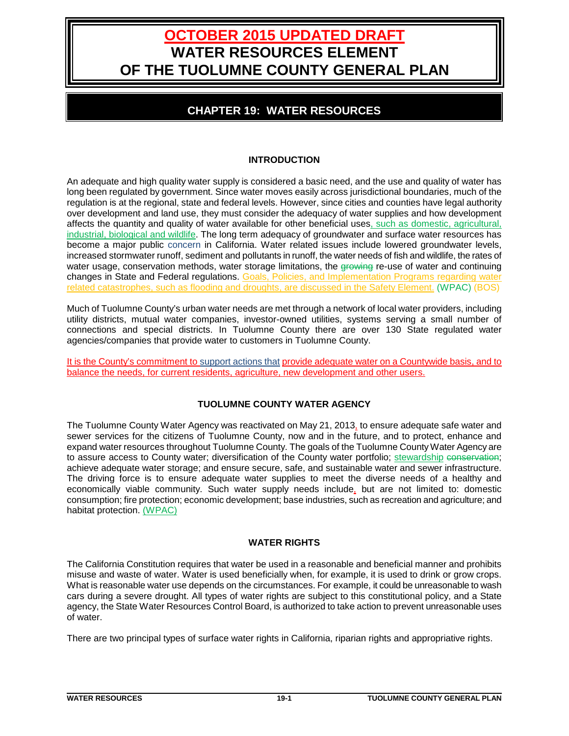# **OCTOBER 2015 UPDATED DRAFT WATER RESOURCES ELEMENT OF THE TUOLUMNE COUNTY GENERAL PLAN**

## **CHAPTER 19: WATER RESOURCES**

## **INTRODUCTION**

An adequate and high quality water supply is considered a basic need, and the use and quality of water has long been regulated by government. Since water moves easily across jurisdictional boundaries, much of the regulation is at the regional, state and federal levels. However, since cities and counties have legal authority over development and land use, they must consider the adequacy of water supplies and how development affects the quantity and quality of water available for other beneficial uses, such as domestic, agricultural, industrial, biological and wildlife. The long term adequacy of groundwater and surface water resources has become a major public concern in California. Water related issues include lowered groundwater levels, increased stormwater runoff, sediment and pollutants in runoff, the water needs of fish and wildlife, the rates of water usage, conservation methods, water storage limitations, the growing re-use of water and continuing changes in State and Federal regulations. Goals, Policies, and Implementation Programs regarding water related catastrophes, such as flooding and droughts, are discussed in the Safety Element. (WPAC) (BOS)

Much of Tuolumne County's urban water needs are met through a network of local water providers, including utility districts, mutual water companies, investor-owned utilities, systems serving a small number of connections and special districts. In Tuolumne County there are over 130 State regulated water agencies/companies that provide water to customers in Tuolumne County.

It is the County's commitment to support actions that provide adequate water on a Countywide basis, and to balance the needs, for current residents, agriculture, new development and other users.

## **TUOLUMNE COUNTY WATER AGENCY**

The Tuolumne County Water Agency was reactivated on May 21, 2013, to ensure adequate safe water and sewer services for the citizens of Tuolumne County, now and in the future, and to protect, enhance and expand water resources throughout Tuolumne County. The goals of the Tuolumne County Water Agency are to assure access to County water; diversification of the County water portfolio; stewardship conservation; achieve adequate water storage; and ensure secure, safe, and sustainable water and sewer infrastructure. The driving force is to ensure adequate water supplies to meet the diverse needs of a healthy and economically viable community. Such water supply needs include, but are not limited to: domestic consumption; fire protection; economic development; base industries, such as recreation and agriculture; and habitat protection. (WPAC)

## **WATER RIGHTS**

The California Constitution requires that water be used in a reasonable and beneficial manner and prohibits misuse and waste of water. Water is used beneficially when, for example, it is used to drink or grow crops. What is reasonable water use depends on the circumstances. For example, it could be unreasonable to wash cars during a severe drought. All types of water rights are subject to this constitutional policy, and a State agency, the State Water Resources Control Board, is authorized to take action to prevent unreasonable uses of water.

There are two principal types of surface water rights in California, riparian rights and appropriative rights.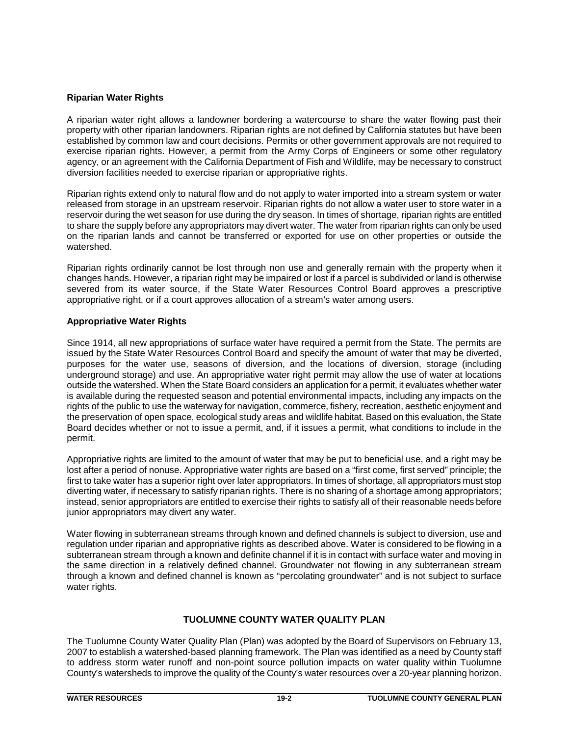## **Riparian Water Rights**

A riparian water right allows a landowner bordering a watercourse to share the water flowing past their property with other riparian landowners. Riparian rights are not defined by California statutes but have been established by common law and court decisions. Permits or other government approvals are not required to exercise riparian rights. However, a permit from the Army Corps of Engineers or some other regulatory agency, or an agreement with the California Department of Fish and Wildlife, may be necessary to construct diversion facilities needed to exercise riparian or appropriative rights.

Riparian rights extend only to natural flow and do not apply to water imported into a stream system or water released from storage in an upstream reservoir. Riparian rights do not allow a water user to store water in a reservoir during the wet season for use during the dry season. In times of shortage, riparian rights are entitled to share the supply before any appropriators may divert water. The water from riparian rights can only be used on the riparian lands and cannot be transferred or exported for use on other properties or outside the watershed.

Riparian rights ordinarily cannot be lost through non use and generally remain with the property when it changes hands. However, a riparian right may be impaired or lost if a parcel is subdivided or land is otherwise severed from its water source, if the State Water Resources Control Board approves a prescriptive appropriative right, or if a court approves allocation of a stream's water among users.

## **Appropriative Water Rights**

Since 1914, all new appropriations of surface water have required a permit from the State. The permits are issued by the State Water Resources Control Board and specify the amount of water that may be diverted, purposes for the water use, seasons of diversion, and the locations of diversion, storage (including underground storage) and use. An appropriative water right permit may allow the use of water at locations outside the watershed. When the State Board considers an application for a permit, it evaluates whether water is available during the requested season and potential environmental impacts, including any impacts on the rights of the public to use the waterway for navigation, commerce, fishery, recreation, aesthetic enjoyment and the preservation of open space, ecological study areas and wildlife habitat. Based on this evaluation, the State Board decides whether or not to issue a permit, and, if it issues a permit, what conditions to include in the permit.

Appropriative rights are limited to the amount of water that may be put to beneficial use, and a right may be lost after a period of nonuse. Appropriative water rights are based on a "first come, first served" principle; the first to take water has a superior right over later appropriators. In times of shortage, all appropriators must stop diverting water, if necessary to satisfy riparian rights. There is no sharing of a shortage among appropriators; instead, senior appropriators are entitled to exercise their rights to satisfy all of their reasonable needs before junior appropriators may divert any water.

Water flowing in subterranean streams through known and defined channels is subject to diversion, use and regulation under riparian and appropriative rights as described above. Water is considered to be flowing in a subterranean stream through a known and definite channel if it is in contact with surface water and moving in the same direction in a relatively defined channel. Groundwater not flowing in any subterranean stream through a known and defined channel is known as "percolating groundwater" and is not subject to surface water rights.

## **TUOLUMNE COUNTY WATER QUALITY PLAN**

The Tuolumne County Water Quality Plan (Plan) was adopted by the Board of Supervisors on February 13, 2007 to establish a watershed-based planning framework. The Plan was identified as a need by County staff to address storm water runoff and non-point source pollution impacts on water quality within Tuolumne County's watersheds to improve the quality of the County's water resources over a 20-year planning horizon.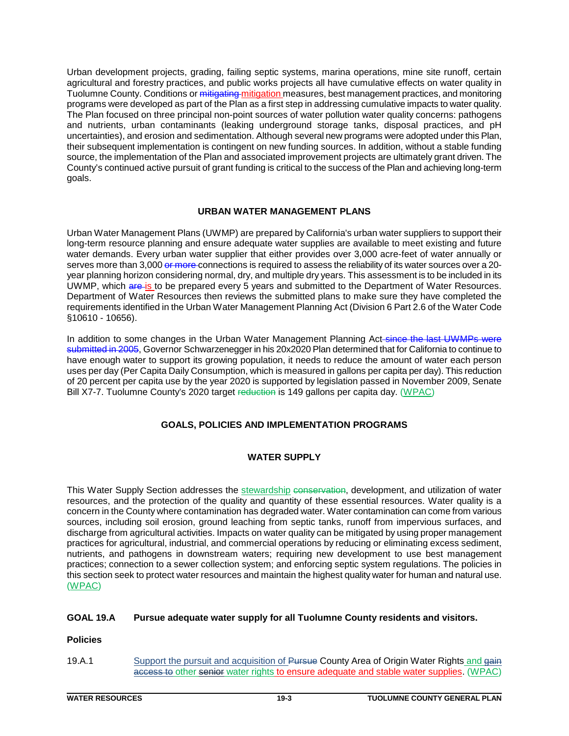Urban development projects, grading, failing septic systems, marina operations, mine site runoff, certain agricultural and forestry practices, and public works projects all have cumulative effects on water quality in Tuolumne County. Conditions or mitigating mitigation measures, best management practices, and monitoring programs were developed as part of the Plan as a first step in addressing cumulative impacts to water quality. The Plan focused on three principal non-point sources of water pollution water quality concerns: pathogens and nutrients, urban contaminants (leaking underground storage tanks, disposal practices, and pH uncertainties), and erosion and sedimentation. Although several new programs were adopted under this Plan, their subsequent implementation is contingent on new funding sources. In addition, without a stable funding source, the implementation of the Plan and associated improvement projects are ultimately grant driven. The County's continued active pursuit of grant funding is critical to the success of the Plan and achieving long-term goals.

## **URBAN WATER MANAGEMENT PLANS**

Urban Water Management Plans (UWMP) are prepared by California's urban water suppliers to support their long-term resource planning and ensure adequate water supplies are available to meet existing and future water demands. Every urban water supplier that either provides over 3,000 acre-feet of water annually or serves more than 3,000 or more connections is required to assess the reliability of its water sources over a 20year planning horizon considering normal, dry, and multiple dry years. This assessment is to be included in its UWMP, which are is to be prepared every 5 years and submitted to the Department of Water Resources. Department of Water Resources then reviews the submitted plans to make sure they have completed the requirements identified in the Urban Water Management Planning Act (Division 6 Part 2.6 of the Water Code §10610 - 10656).

In addition to some changes in the Urban Water Management Planning Act since the last UWMPs were submitted in 2005, Governor Schwarzenegger in his 20x2020 Plan determined that for California to continue to have enough water to support its growing population, it needs to reduce the amount of water each person uses per day (Per Capita Daily Consumption, which is measured in gallons per capita per day). This reduction of 20 percent per capita use by the year 2020 is supported by legislation passed in November 2009, Senate Bill X7-7. Tuolumne County's 2020 target reduction is 149 gallons per capita day. (WPAC)

## **GOALS, POLICIES AND IMPLEMENTATION PROGRAMS**

## **WATER SUPPLY**

This Water Supply Section addresses the stewardship conservation, development, and utilization of water resources, and the protection of the quality and quantity of these essential resources. Water quality is a concern in the County where contamination has degraded water. Water contamination can come from various sources, including soil erosion, ground leaching from septic tanks, runoff from impervious surfaces, and discharge from agricultural activities. Impacts on water quality can be mitigated by using proper management practices for agricultural, industrial, and commercial operations by reducing or eliminating excess sediment, nutrients, and pathogens in downstream waters; requiring new development to use best management practices; connection to a sewer collection system; and enforcing septic system regulations. The policies in this section seek to protect water resources and maintain the highest quality water for human and natural use. (WPAC)

## **GOAL 19.A Pursue adequate water supply for all Tuolumne County residents and visitors.**

## **Policies**

19.A.1 Support the pursuit and acquisition of Pursue County Area of Origin Water Rights and gain access to other senior water rights to ensure adequate and stable water supplies. (WPAC)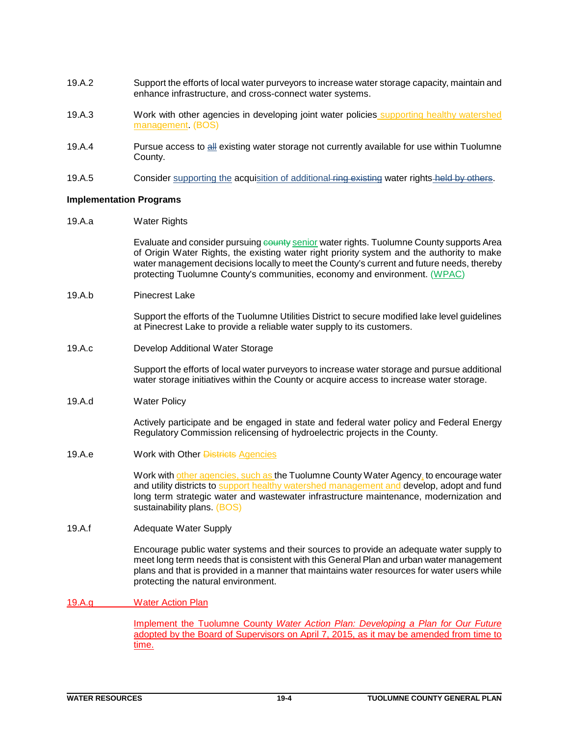- 19.A.2 Support the efforts of local water purveyors to increase water storage capacity, maintain and enhance infrastructure, and cross-connect water systems.
- 19.A.3 Work with other agencies in developing joint water policies supporting healthy watershed management. (BOS)
- 19.A.4 Pursue access to all existing water storage not currently available for use within Tuolumne County.
- 19.A.5 Consider supporting the acquisition of additional ring existing water rights held by others.

#### **Implementation Programs**

19.A.a Water Rights

Evaluate and consider pursuing county senior water rights. Tuolumne County supports Area of Origin Water Rights, the existing water right priority system and the authority to make water management decisions locally to meet the County's current and future needs, thereby protecting Tuolumne County's communities, economy and environment. (WPAC)

19.A.b Pinecrest Lake

Support the efforts of the Tuolumne Utilities District to secure modified lake level guidelines at Pinecrest Lake to provide a reliable water supply to its customers.

19.A.c Develop Additional Water Storage

Support the efforts of local water purveyors to increase water storage and pursue additional water storage initiatives within the County or acquire access to increase water storage.

19.A.d Water Policy

Actively participate and be engaged in state and federal water policy and Federal Energy Regulatory Commission relicensing of hydroelectric projects in the County.

19.A.e Work with Other Districts Agencies

Work with other agencies, such as the Tuolumne County Water Agency, to encourage water and utility districts to support healthy watershed management and develop, adopt and fund long term strategic water and wastewater infrastructure maintenance, modernization and sustainability plans. (BOS)

19.A.f Adequate Water Supply

Encourage public water systems and their sources to provide an adequate water supply to meet long term needs that is consistent with this General Plan and urban water management plans and that is provided in a manner that maintains water resources for water users while protecting the natural environment.

19.A.g Water Action Plan

Implement the Tuolumne County *Water Action Plan: Developing a Plan for Our Future* adopted by the Board of Supervisors on April 7, 2015, as it may be amended from time to time.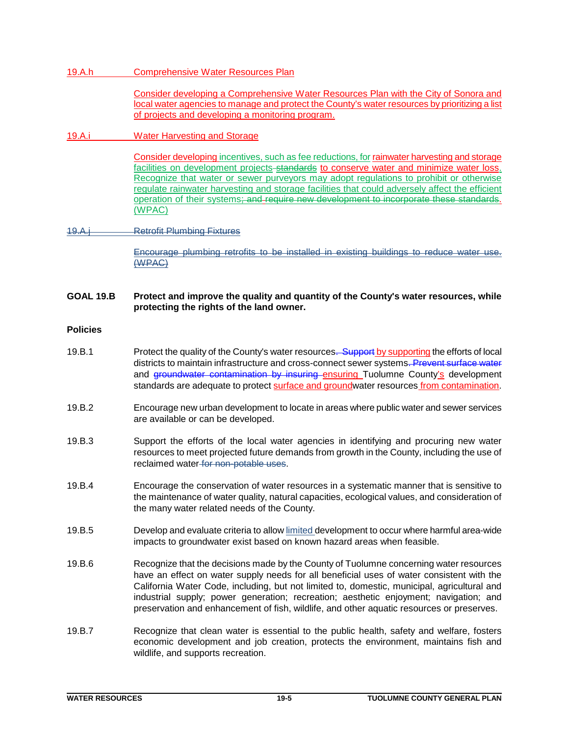## 19.A.h Comprehensive Water Resources Plan

Consider developing a Comprehensive Water Resources Plan with the City of Sonora and local water agencies to manage and protect the County's water resources by prioritizing a list of projects and developing a monitoring program.

## 19.A.i Water Harvesting and Storage

Consider developing incentives, such as fee reductions, for rainwater harvesting and storage facilities on development projects-standards to conserve water and minimize water loss. Recognize that water or sewer purveyors may adopt regulations to prohibit or otherwise regulate rainwater harvesting and storage facilities that could adversely affect the efficient operation of their systems; and require new development to incorporate these standards. (WPAC)

## 19.A.j Retrofit Plumbing Fixtures

Encourage plumbing retrofits to be installed in existing buildings to reduce water use. (WPAC)

## **GOAL 19.B Protect and improve the quality and quantity of the County's water resources, while protecting the rights of the land owner.**

## **Policies**

- 19.B.1 Protect the quality of the County's water resources. Support by supporting the efforts of local districts to maintain infrastructure and cross-connect sewer systems. Prevent surface water and groundwater contamination by insuring ensuring Tuolumne County's development standards are adequate to protect surface and groundwater resources from contamination.
- 19.B.2 Encourage new urban development to locate in areas where public water and sewer services are available or can be developed.
- 19.B.3 Support the efforts of the local water agencies in identifying and procuring new water resources to meet projected future demands from growth in the County, including the use of reclaimed water for non-potable uses.
- 19.B.4 Encourage the conservation of water resources in a systematic manner that is sensitive to the maintenance of water quality, natural capacities, ecological values, and consideration of the many water related needs of the County.
- 19.B.5 Develop and evaluate criteria to allow limited development to occur where harmful area-wide impacts to groundwater exist based on known hazard areas when feasible.
- 19.B.6 Recognize that the decisions made by the County of Tuolumne concerning water resources have an effect on water supply needs for all beneficial uses of water consistent with the California Water Code, including, but not limited to, domestic, municipal, agricultural and industrial supply; power generation; recreation; aesthetic enjoyment; navigation; and preservation and enhancement of fish, wildlife, and other aquatic resources or preserves.
- 19.B.7 Recognize that clean water is essential to the public health, safety and welfare, fosters economic development and job creation, protects the environment, maintains fish and wildlife, and supports recreation.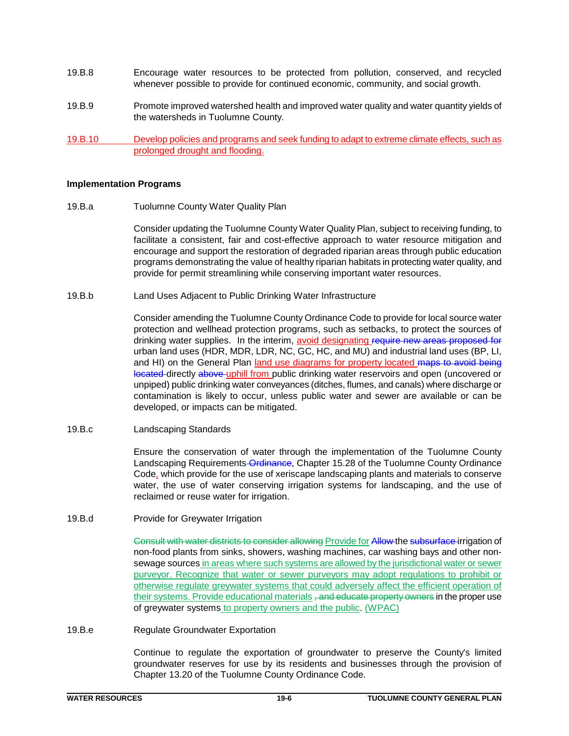- 19.B.8 Encourage water resources to be protected from pollution, conserved, and recycled whenever possible to provide for continued economic, community, and social growth.
- 19.B.9 Promote improved watershed health and improved water quality and water quantity yields of the watersheds in Tuolumne County.
- 19.B.10 Develop policies and programs and seek funding to adapt to extreme climate effects, such as prolonged drought and flooding.

#### **Implementation Programs**

19.B.a Tuolumne County Water Quality Plan

Consider updating the Tuolumne County Water Quality Plan, subject to receiving funding, to facilitate a consistent, fair and cost-effective approach to water resource mitigation and encourage and support the restoration of degraded riparian areas through public education programs demonstrating the value of healthy riparian habitats in protecting water quality, and provide for permit streamlining while conserving important water resources.

19.B.b Land Uses Adjacent to Public Drinking Water Infrastructure

Consider amending the Tuolumne County Ordinance Code to provide for local source water protection and wellhead protection programs, such as setbacks, to protect the sources of drinking water supplies. In the interim, avoid designating require new areas proposed for urban land uses (HDR, MDR, LDR, NC, GC, HC, and MU) and industrial land uses (BP, LI, and HI) on the General Plan land use diagrams for property located maps to avoid being located directly above uphill from public drinking water reservoirs and open (uncovered or unpiped) public drinking water conveyances (ditches, flumes, and canals) where discharge or contamination is likely to occur, unless public water and sewer are available or can be developed, or impacts can be mitigated.

19.B.c Landscaping Standards

Ensure the conservation of water through the implementation of the Tuolumne County Landscaping Requirements Ordinance, Chapter 15.28 of the Tuolumne County Ordinance Code, which provide for the use of xeriscape landscaping plants and materials to conserve water, the use of water conserving irrigation systems for landscaping, and the use of reclaimed or reuse water for irrigation.

19.B.d Provide for Greywater Irrigation

Consult with water districts to consider allowing Provide for Allow the subsurface irrigation of non-food plants from sinks, showers, washing machines, car washing bays and other nonsewage sources in areas where such systems are allowed by the jurisdictional water or sewer purveyor. Recognize that water or sewer purveyors may adopt regulations to prohibit or otherwise regulate greywater systems that could adversely affect the efficient operation of their systems. Provide educational materials, and educate property owners in the proper use of greywater systems to property owners and the public. (WPAC)

19.B.e Regulate Groundwater Exportation

Continue to regulate the exportation of groundwater to preserve the County's limited groundwater reserves for use by its residents and businesses through the provision of Chapter 13.20 of the Tuolumne County Ordinance Code.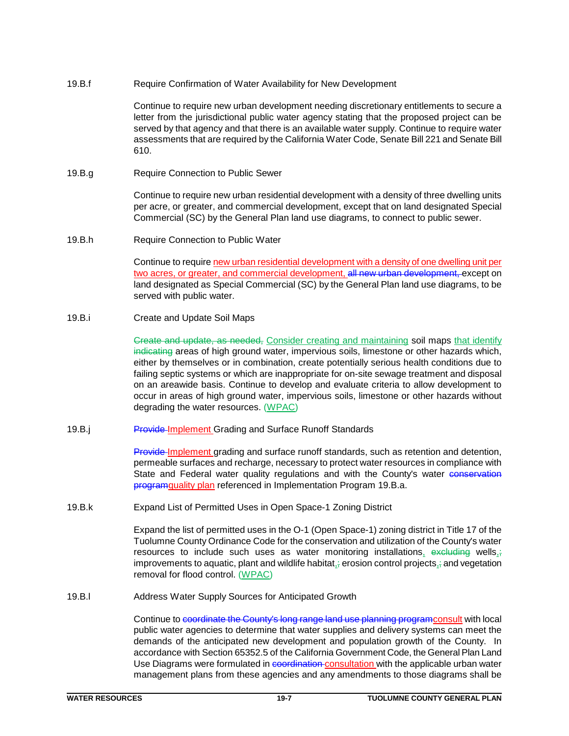## 19.B.f Require Confirmation of Water Availability for New Development

Continue to require new urban development needing discretionary entitlements to secure a letter from the jurisdictional public water agency stating that the proposed project can be served by that agency and that there is an available water supply. Continue to require water assessments that are required by the California Water Code, Senate Bill 221 and Senate Bill 610.

19.B.g Require Connection to Public Sewer

Continue to require new urban residential development with a density of three dwelling units per acre, or greater, and commercial development, except that on land designated Special Commercial (SC) by the General Plan land use diagrams, to connect to public sewer.

19.B.h Require Connection to Public Water

Continue to require new urban residential development with a density of one dwelling unit per two acres, or greater, and commercial development, all new urban development, except on land designated as Special Commercial (SC) by the General Plan land use diagrams, to be served with public water.

19.B.i Create and Update Soil Maps

Create and update, as needed, Consider creating and maintaining soil maps that identify indicating areas of high ground water, impervious soils, limestone or other hazards which, either by themselves or in combination, create potentially serious health conditions due to failing septic systems or which are inappropriate for on-site sewage treatment and disposal on an areawide basis. Continue to develop and evaluate criteria to allow development to occur in areas of high ground water, impervious soils, limestone or other hazards without degrading the water resources. (WPAC)

19.B.j Provide-Implement Grading and Surface Runoff Standards

**Provide Implement grading and surface runoff standards, such as retention and detention,** permeable surfaces and recharge, necessary to protect water resources in compliance with State and Federal water quality regulations and with the County's water conservation **programquality plan referenced in Implementation Program 19.B.a.** 

19.B.k Expand List of Permitted Uses in Open Space-1 Zoning District

Expand the list of permitted uses in the O-1 (Open Space-1) zoning district in Title 17 of the Tuolumne County Ordinance Code for the conservation and utilization of the County's water resources to include such uses as water monitoring installations, excluding wells, improvements to aquatic, plant and wildlife habitat,; erosion control projects,; and vegetation removal for flood control. (WPAC)

19.B.l Address Water Supply Sources for Anticipated Growth

Continue to coordinate the County's long range land use planning programconsult with local public water agencies to determine that water supplies and delivery systems can meet the demands of the anticipated new development and population growth of the County. In accordance with Section 65352.5 of the California Government Code, the General Plan Land Use Diagrams were formulated in coordination consultation with the applicable urban water management plans from these agencies and any amendments to those diagrams shall be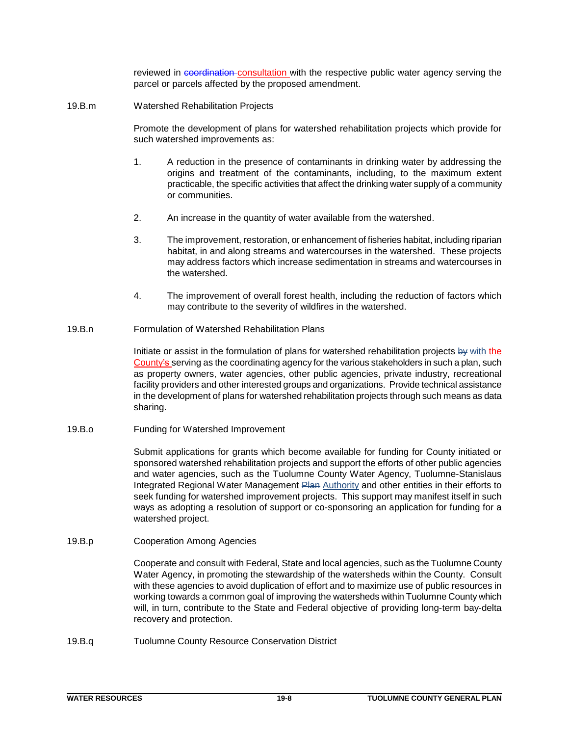reviewed in coordination consultation with the respective public water agency serving the parcel or parcels affected by the proposed amendment.

19.B.m Watershed Rehabilitation Projects

Promote the development of plans for watershed rehabilitation projects which provide for such watershed improvements as:

- 1. A reduction in the presence of contaminants in drinking water by addressing the origins and treatment of the contaminants, including, to the maximum extent practicable, the specific activities that affect the drinking water supply of a community or communities.
- 2. An increase in the quantity of water available from the watershed.
- 3. The improvement, restoration, or enhancement of fisheries habitat, including riparian habitat, in and along streams and watercourses in the watershed. These projects may address factors which increase sedimentation in streams and watercourses in the watershed.
- 4. The improvement of overall forest health, including the reduction of factors which may contribute to the severity of wildfires in the watershed.
- 19.B.n Formulation of Watershed Rehabilitation Plans

Initiate or assist in the formulation of plans for watershed rehabilitation projects by with the County's serving as the coordinating agency for the various stakeholders in such a plan, such as property owners, water agencies, other public agencies, private industry, recreational facility providers and other interested groups and organizations. Provide technical assistance in the development of plans for watershed rehabilitation projects through such means as data sharing.

19.B.o Funding for Watershed Improvement

Submit applications for grants which become available for funding for County initiated or sponsored watershed rehabilitation projects and support the efforts of other public agencies and water agencies, such as the Tuolumne County Water Agency, Tuolumne-Stanislaus Integrated Regional Water Management Plan Authority and other entities in their efforts to seek funding for watershed improvement projects. This support may manifest itself in such ways as adopting a resolution of support or co-sponsoring an application for funding for a watershed project.

19.B.p Cooperation Among Agencies

Cooperate and consult with Federal, State and local agencies, such as the Tuolumne County Water Agency, in promoting the stewardship of the watersheds within the County. Consult with these agencies to avoid duplication of effort and to maximize use of public resources in working towards a common goal of improving the watersheds within Tuolumne County which will, in turn, contribute to the State and Federal objective of providing long-term bay-delta recovery and protection.

19.B.q Tuolumne County Resource Conservation District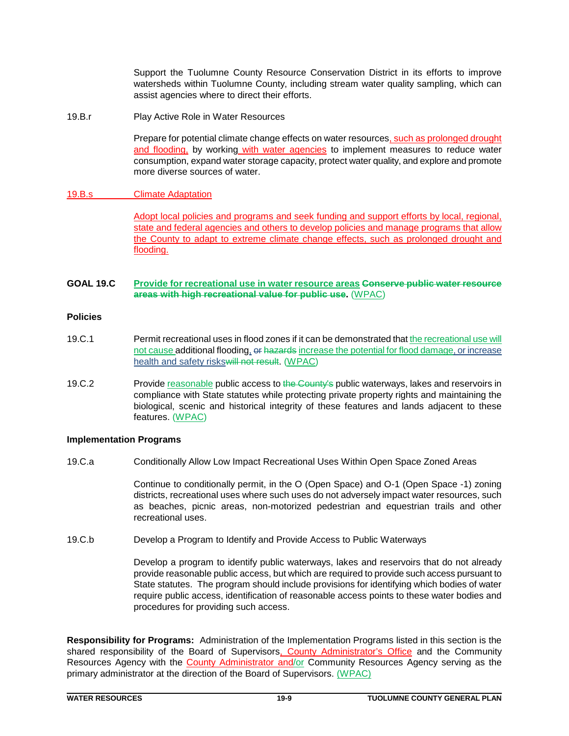Support the Tuolumne County Resource Conservation District in its efforts to improve watersheds within Tuolumne County, including stream water quality sampling, which can assist agencies where to direct their efforts.

19.B.r Play Active Role in Water Resources

Prepare for potential climate change effects on water resources, such as prolonged drought and flooding, by working with water agencies to implement measures to reduce water consumption, expand water storage capacity, protect water quality, and explore and promote more diverse sources of water.

## 19.B.s Climate Adaptation

Adopt local policies and programs and seek funding and support efforts by local, regional, state and federal agencies and others to develop policies and manage programs that allow the County to adapt to extreme climate change effects, such as prolonged drought and flooding.

## **GOAL 19.C Provide for recreational use in water resource areas Conserve public water resource areas with high recreational value for public use.** (WPAC)

#### **Policies**

- 19.C.1 Permit recreational uses in flood zones if it can be demonstrated that the recreational use will not cause additional flooding, or hazards increase the potential for flood damage, or increase health and safety riskswill not result. (WPAC)
- 19.C.2 Provide reasonable public access to the County's public waterways, lakes and reservoirs in compliance with State statutes while protecting private property rights and maintaining the biological, scenic and historical integrity of these features and lands adjacent to these features. (WPAC)

## **Implementation Programs**

19.C.a Conditionally Allow Low Impact Recreational Uses Within Open Space Zoned Areas

Continue to conditionally permit, in the O (Open Space) and O-1 (Open Space -1) zoning districts, recreational uses where such uses do not adversely impact water resources, such as beaches, picnic areas, non-motorized pedestrian and equestrian trails and other recreational uses.

19.C.b Develop a Program to Identify and Provide Access to Public Waterways

Develop a program to identify public waterways, lakes and reservoirs that do not already provide reasonable public access, but which are required to provide such access pursuant to State statutes. The program should include provisions for identifying which bodies of water require public access, identification of reasonable access points to these water bodies and procedures for providing such access.

**Responsibility for Programs:** Administration of the Implementation Programs listed in this section is the shared responsibility of the Board of Supervisors, County Administrator's Office and the Community Resources Agency with the County Administrator and/or Community Resources Agency serving as the primary administrator at the direction of the Board of Supervisors. (WPAC)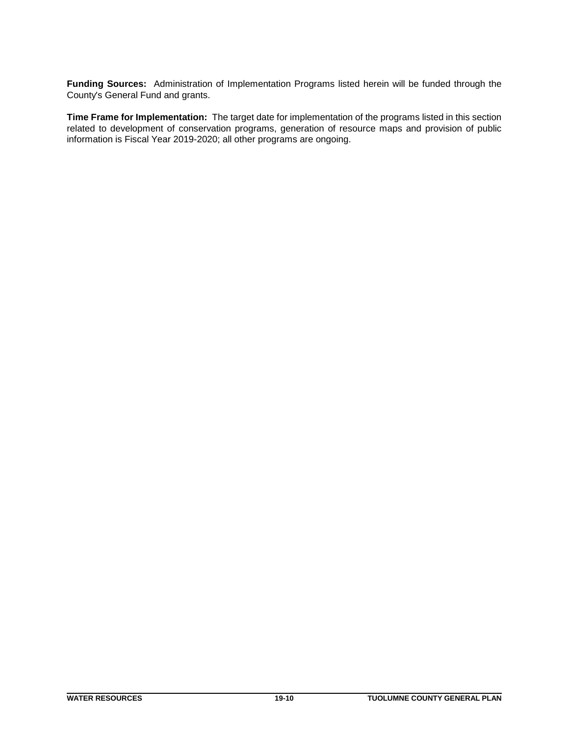**Funding Sources:** Administration of Implementation Programs listed herein will be funded through the County's General Fund and grants.

**Time Frame for Implementation:** The target date for implementation of the programs listed in this section related to development of conservation programs, generation of resource maps and provision of public information is Fiscal Year 2019-2020; all other programs are ongoing.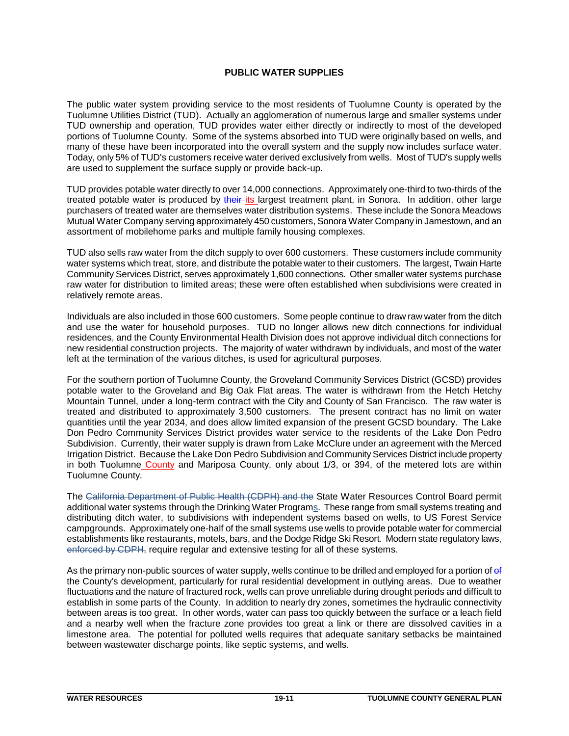## **PUBLIC WATER SUPPLIES**

The public water system providing service to the most residents of Tuolumne County is operated by the Tuolumne Utilities District (TUD). Actually an agglomeration of numerous large and smaller systems under TUD ownership and operation, TUD provides water either directly or indirectly to most of the developed portions of Tuolumne County. Some of the systems absorbed into TUD were originally based on wells, and many of these have been incorporated into the overall system and the supply now includes surface water. Today, only 5% of TUD's customers receive water derived exclusively from wells. Most of TUD's supply wells are used to supplement the surface supply or provide back-up.

TUD provides potable water directly to over 14,000 connections. Approximately one-third to two-thirds of the treated potable water is produced by their its largest treatment plant, in Sonora. In addition, other large purchasers of treated water are themselves water distribution systems. These include the Sonora Meadows Mutual Water Company serving approximately 450 customers, Sonora Water Company in Jamestown, and an assortment of mobilehome parks and multiple family housing complexes.

TUD also sells raw water from the ditch supply to over 600 customers. These customers include community water systems which treat, store, and distribute the potable water to their customers. The largest, Twain Harte Community Services District, serves approximately 1,600 connections. Other smaller water systems purchase raw water for distribution to limited areas; these were often established when subdivisions were created in relatively remote areas.

Individuals are also included in those 600 customers. Some people continue to draw raw water from the ditch and use the water for household purposes. TUD no longer allows new ditch connections for individual residences, and the County Environmental Health Division does not approve individual ditch connections for new residential construction projects. The majority of water withdrawn by individuals, and most of the water left at the termination of the various ditches, is used for agricultural purposes.

For the southern portion of Tuolumne County, the Groveland Community Services District (GCSD) provides potable water to the Groveland and Big Oak Flat areas. The water is withdrawn from the Hetch Hetchy Mountain Tunnel, under a long-term contract with the City and County of San Francisco. The raw water is treated and distributed to approximately 3,500 customers. The present contract has no limit on water quantities until the year 2034, and does allow limited expansion of the present GCSD boundary. The Lake Don Pedro Community Services District provides water service to the residents of the Lake Don Pedro Subdivision. Currently, their water supply is drawn from Lake McClure under an agreement with the Merced Irrigation District. Because the Lake Don Pedro Subdivision and Community Services District include property in both Tuolumne County and Mariposa County, only about 1/3, or 394, of the metered lots are within Tuolumne County.

The California Department of Public Health (CDPH) and the State Water Resources Control Board permit additional water systems through the Drinking Water Programs. These range from small systems treating and distributing ditch water, to subdivisions with independent systems based on wells, to US Forest Service campgrounds. Approximately one-half of the small systems use wells to provide potable water for commercial establishments like restaurants, motels, bars, and the Dodge Ridge Ski Resort. Modern state regulatory laws, enforced by CDPH, require regular and extensive testing for all of these systems.

As the primary non-public sources of water supply, wells continue to be drilled and employed for a portion of ef the County's development, particularly for rural residential development in outlying areas. Due to weather fluctuations and the nature of fractured rock, wells can prove unreliable during drought periods and difficult to establish in some parts of the County. In addition to nearly dry zones, sometimes the hydraulic connectivity between areas is too great. In other words, water can pass too quickly between the surface or a leach field and a nearby well when the fracture zone provides too great a link or there are dissolved cavities in a limestone area. The potential for polluted wells requires that adequate sanitary setbacks be maintained between wastewater discharge points, like septic systems, and wells.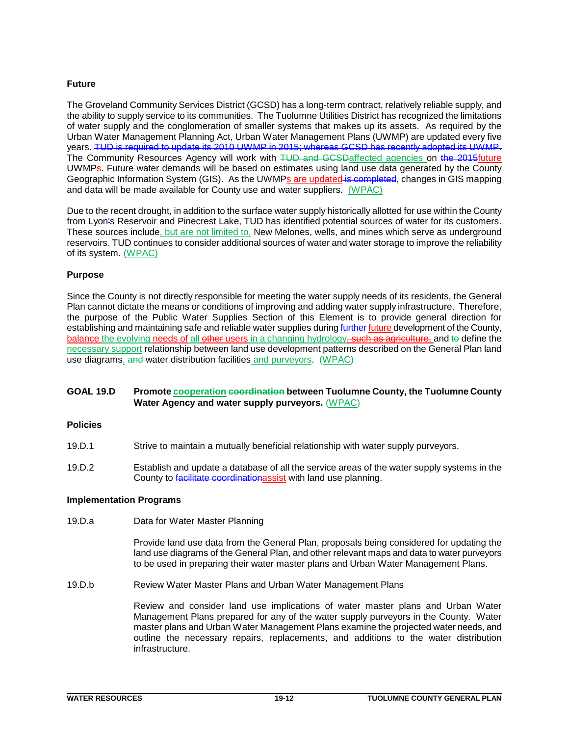## **Future**

The Groveland Community Services District (GCSD) has a long-term contract, relatively reliable supply, and the ability to supply service to its communities. The Tuolumne Utilities District has recognized the limitations of water supply and the conglomeration of smaller systems that makes up its assets. As required by the Urban Water Management Planning Act, Urban Water Management Plans (UWMP) are updated every five years. TUD is required to update its 2010 UWMP in 2015; whereas GCSD has recently adopted its UWMP. The Community Resources Agency will work with TUD and GCSDaffected agencies on the 2015future UWMPs. Future water demands will be based on estimates using land use data generated by the County Geographic Information System (GIS). As the UWMPs are updated is completed, changes in GIS mapping and data will be made available for County use and water suppliers. (WPAC)

Due to the recent drought, in addition to the surface water supply historically allotted for use within the County from Lyon's Reservoir and Pinecrest Lake, TUD has identified potential sources of water for its customers. These sources include, but are not limited to, New Melones, wells, and mines which serve as underground reservoirs. TUD continues to consider additional sources of water and water storage to improve the reliability of its system. (WPAC)

## **Purpose**

Since the County is not directly responsible for meeting the water supply needs of its residents, the General Plan cannot dictate the means or conditions of improving and adding water supply infrastructure. Therefore, the purpose of the Public Water Supplies Section of this Element is to provide general direction for establishing and maintaining safe and reliable water supplies during further future development of the County, balance the evolving needs of all other users in a changing hydrology, such as agriculture, and to define the necessary support relationship between land use development patterns described on the General Plan land use diagrams, and water distribution facilities and purveyors. (WPAC)

## **GOAL 19.D Promote cooperation coordination between Tuolumne County, the Tuolumne County Water Agency and water supply purveyors.** (WPAC)

## **Policies**

- 19.D.1 Strive to maintain a mutually beneficial relationship with water supply purveyors.
- 19.D.2 Establish and update a database of all the service areas of the water supply systems in the County to facilitate coordination assist with land use planning.

## **Implementation Programs**

19.D.a Data for Water Master Planning

Provide land use data from the General Plan, proposals being considered for updating the land use diagrams of the General Plan, and other relevant maps and data to water purveyors to be used in preparing their water master plans and Urban Water Management Plans.

19.D.b Review Water Master Plans and Urban Water Management Plans

Review and consider land use implications of water master plans and Urban Water Management Plans prepared for any of the water supply purveyors in the County. Water master plans and Urban Water Management Plans examine the projected water needs, and outline the necessary repairs, replacements, and additions to the water distribution infrastructure.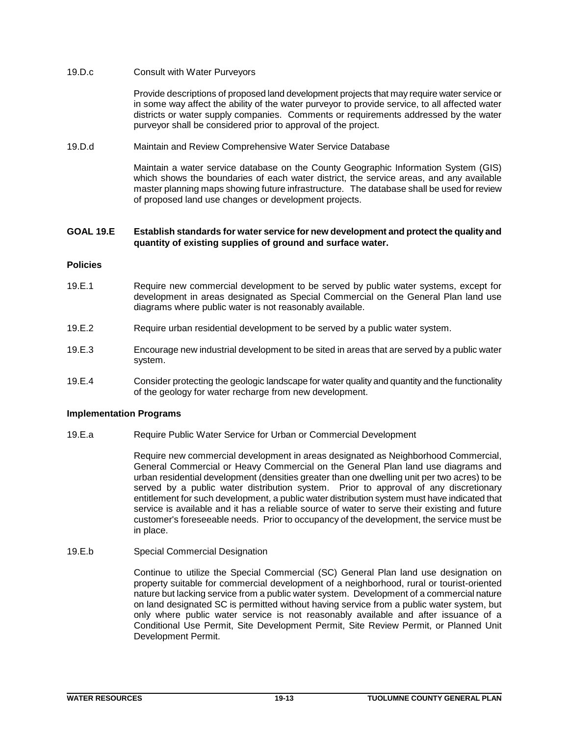## 19.D.c Consult with Water Purveyors

Provide descriptions of proposed land development projects that may require water service or in some way affect the ability of the water purveyor to provide service, to all affected water districts or water supply companies. Comments or requirements addressed by the water purveyor shall be considered prior to approval of the project.

#### 19.D.d Maintain and Review Comprehensive Water Service Database

Maintain a water service database on the County Geographic Information System (GIS) which shows the boundaries of each water district, the service areas, and any available master planning maps showing future infrastructure. The database shall be used for review of proposed land use changes or development projects.

## **GOAL 19.E Establish standards for water service for new development and protect the quality and quantity of existing supplies of ground and surface water.**

#### **Policies**

- 19.E.1 Require new commercial development to be served by public water systems, except for development in areas designated as Special Commercial on the General Plan land use diagrams where public water is not reasonably available.
- 19.E.2 Require urban residential development to be served by a public water system.
- 19.E.3 Encourage new industrial development to be sited in areas that are served by a public water system.
- 19.E.4 Consider protecting the geologic landscape for water quality and quantity and the functionality of the geology for water recharge from new development.

## **Implementation Programs**

19.E.a Require Public Water Service for Urban or Commercial Development

Require new commercial development in areas designated as Neighborhood Commercial, General Commercial or Heavy Commercial on the General Plan land use diagrams and urban residential development (densities greater than one dwelling unit per two acres) to be served by a public water distribution system. Prior to approval of any discretionary entitlement for such development, a public water distribution system must have indicated that service is available and it has a reliable source of water to serve their existing and future customer's foreseeable needs. Prior to occupancy of the development, the service must be in place.

19.E.b Special Commercial Designation

Continue to utilize the Special Commercial (SC) General Plan land use designation on property suitable for commercial development of a neighborhood, rural or tourist-oriented nature but lacking service from a public water system. Development of a commercial nature on land designated SC is permitted without having service from a public water system, but only where public water service is not reasonably available and after issuance of a Conditional Use Permit, Site Development Permit, Site Review Permit, or Planned Unit Development Permit.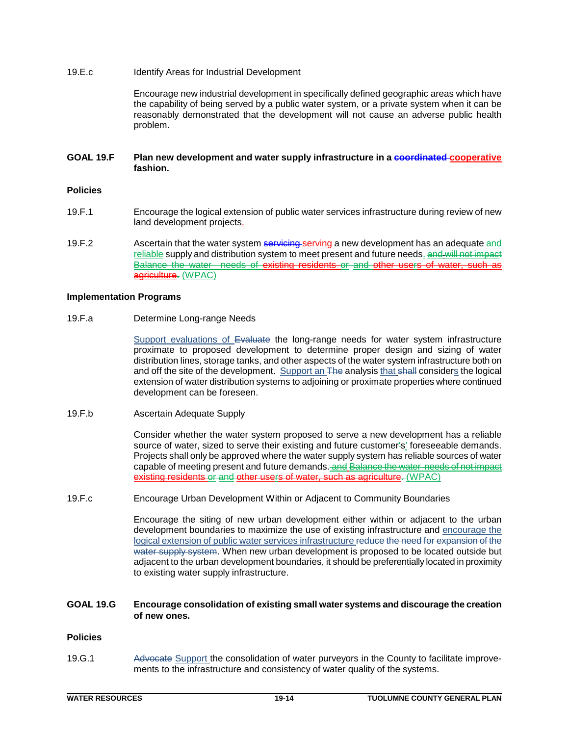## 19.E.c Identify Areas for Industrial Development

Encourage new industrial development in specifically defined geographic areas which have the capability of being served by a public water system, or a private system when it can be reasonably demonstrated that the development will not cause an adverse public health problem.

## **GOAL 19.F Plan new development and water supply infrastructure in a coordinated cooperative fashion.**

## **Policies**

- 19.F.1 Encourage the logical extension of public water services infrastructure during review of new land development projects.
- 19.F.2 Ascertain that the water system servicing-serving a new development has an adequate and reliable supply and distribution system to meet present and future needs. and will not impact Balance the water needs of existing residents or and other users of water, agriculture. (WPAC)

#### **Implementation Programs**

#### 19.F.a Determine Long-range Needs

Support evaluations of Evaluate the long-range needs for water system infrastructure proximate to proposed development to determine proper design and sizing of water distribution lines, storage tanks, and other aspects of the water system infrastructure both on and off the site of the development. Support an The analysis that shall considers the logical extension of water distribution systems to adjoining or proximate properties where continued development can be foreseen.

19.F.b Ascertain Adequate Supply

Consider whether the water system proposed to serve a new development has a reliable source of water, sized to serve their existing and future customer's' foreseeable demands. Projects shall only be approved where the water supply system has reliable sources of water capable of meeting present and future demands. and Balance the water needs of not impact existing residents or and other users of water, such as agriculture. (WPAC)

19.F.c Encourage Urban Development Within or Adjacent to Community Boundaries

Encourage the siting of new urban development either within or adjacent to the urban development boundaries to maximize the use of existing infrastructure and encourage the logical extension of public water services infrastructure reduce the need for expansion of the water supply system. When new urban development is proposed to be located outside but adjacent to the urban development boundaries, it should be preferentially located in proximity to existing water supply infrastructure.

## **GOAL 19.G Encourage consolidation of existing small water systems and discourage the creation of new ones.**

## **Policies**

19.G.1 Advocate Support the consolidation of water purveyors in the County to facilitate improvements to the infrastructure and consistency of water quality of the systems.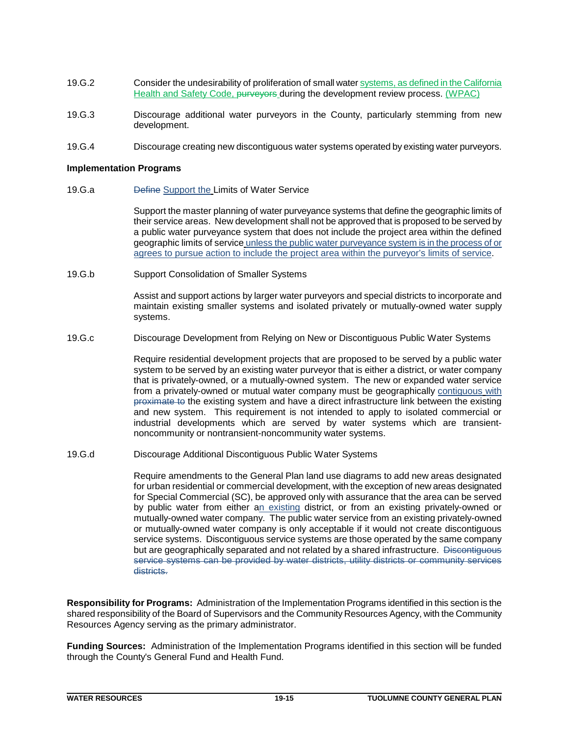- 19.G.2 Consider the undesirability of proliferation of small water systems, as defined in the California Health and Safety Code, purveyors during the development review process. (WPAC)
- 19.G.3 Discourage additional water purveyors in the County, particularly stemming from new development.
- 19.G.4 Discourage creating new discontiguous water systems operated by existing water purveyors.

#### **Implementation Programs**

19.G.a Define Support the Limits of Water Service

Support the master planning of water purveyance systems that define the geographic limits of their service areas. New development shall not be approved that is proposed to be served by a public water purveyance system that does not include the project area within the defined geographic limits of service unless the public water purveyance system is in the process of or agrees to pursue action to include the project area within the purveyor's limits of service.

19.G.b Support Consolidation of Smaller Systems

Assist and support actions by larger water purveyors and special districts to incorporate and maintain existing smaller systems and isolated privately or mutually-owned water supply systems.

19.G.c Discourage Development from Relying on New or Discontiguous Public Water Systems

Require residential development projects that are proposed to be served by a public water system to be served by an existing water purveyor that is either a district, or water company that is privately-owned, or a mutually-owned system. The new or expanded water service from a privately-owned or mutual water company must be geographically contiguous with proximate to the existing system and have a direct infrastructure link between the existing and new system. This requirement is not intended to apply to isolated commercial or industrial developments which are served by water systems which are transientnoncommunity or nontransient-noncommunity water systems.

19.G.d Discourage Additional Discontiguous Public Water Systems

Require amendments to the General Plan land use diagrams to add new areas designated for urban residential or commercial development, with the exception of new areas designated for Special Commercial (SC), be approved only with assurance that the area can be served by public water from either an existing district, or from an existing privately-owned or mutually-owned water company. The public water service from an existing privately-owned or mutually-owned water company is only acceptable if it would not create discontiguous service systems. Discontiguous service systems are those operated by the same company but are geographically separated and not related by a shared infrastructure. Discontiguous service systems can be provided by water districts, utility districts or community services districts.

**Responsibility for Programs:** Administration of the Implementation Programs identified in this section is the shared responsibility of the Board of Supervisors and the Community Resources Agency, with the Community Resources Agency serving as the primary administrator.

**Funding Sources:** Administration of the Implementation Programs identified in this section will be funded through the County's General Fund and Health Fund.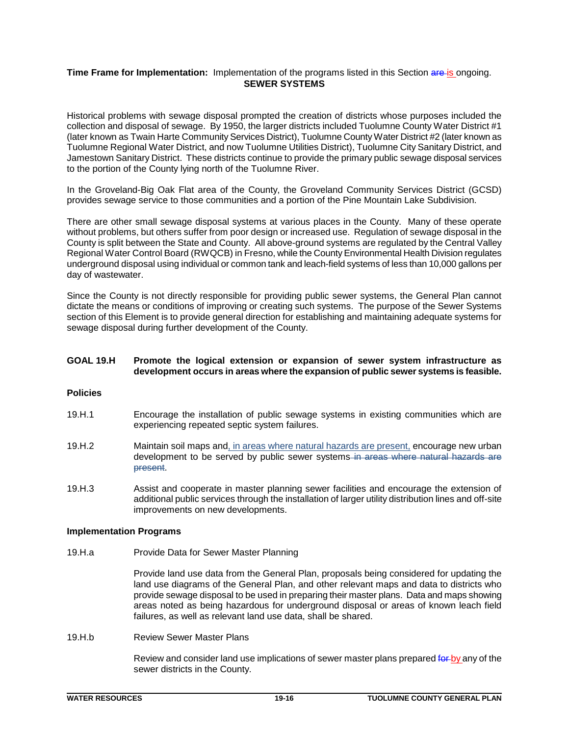## **Time Frame for Implementation:** Implementation of the programs listed in this Section are is ongoing. **SEWER SYSTEMS**

Historical problems with sewage disposal prompted the creation of districts whose purposes included the collection and disposal of sewage. By 1950, the larger districts included Tuolumne County Water District #1 (later known as Twain Harte Community Services District), Tuolumne County Water District #2 (later known as Tuolumne Regional Water District, and now Tuolumne Utilities District), Tuolumne City Sanitary District, and Jamestown Sanitary District. These districts continue to provide the primary public sewage disposal services to the portion of the County lying north of the Tuolumne River.

In the Groveland-Big Oak Flat area of the County, the Groveland Community Services District (GCSD) provides sewage service to those communities and a portion of the Pine Mountain Lake Subdivision.

There are other small sewage disposal systems at various places in the County. Many of these operate without problems, but others suffer from poor design or increased use. Regulation of sewage disposal in the County is split between the State and County. All above-ground systems are regulated by the Central Valley Regional Water Control Board (RWQCB) in Fresno, while the County Environmental Health Division regulates underground disposal using individual or common tank and leach-field systems of less than 10,000 gallons per day of wastewater.

Since the County is not directly responsible for providing public sewer systems, the General Plan cannot dictate the means or conditions of improving or creating such systems. The purpose of the Sewer Systems section of this Element is to provide general direction for establishing and maintaining adequate systems for sewage disposal during further development of the County.

## **GOAL 19.H Promote the logical extension or expansion of sewer system infrastructure as development occurs in areas where the expansion of public sewer systems is feasible.**

#### **Policies**

- 19.H.1 Encourage the installation of public sewage systems in existing communities which are experiencing repeated septic system failures.
- 19.H.2 Maintain soil maps and, in areas where natural hazards are present, encourage new urban development to be served by public sewer systems in areas where natural hazards are present.
- 19.H.3 Assist and cooperate in master planning sewer facilities and encourage the extension of additional public services through the installation of larger utility distribution lines and off-site improvements on new developments.

## **Implementation Programs**

19.H.a Provide Data for Sewer Master Planning

Provide land use data from the General Plan, proposals being considered for updating the land use diagrams of the General Plan, and other relevant maps and data to districts who provide sewage disposal to be used in preparing their master plans. Data and maps showing areas noted as being hazardous for underground disposal or areas of known leach field failures, as well as relevant land use data, shall be shared.

19.H.b Review Sewer Master Plans

Review and consider land use implications of sewer master plans prepared for by any of the sewer districts in the County.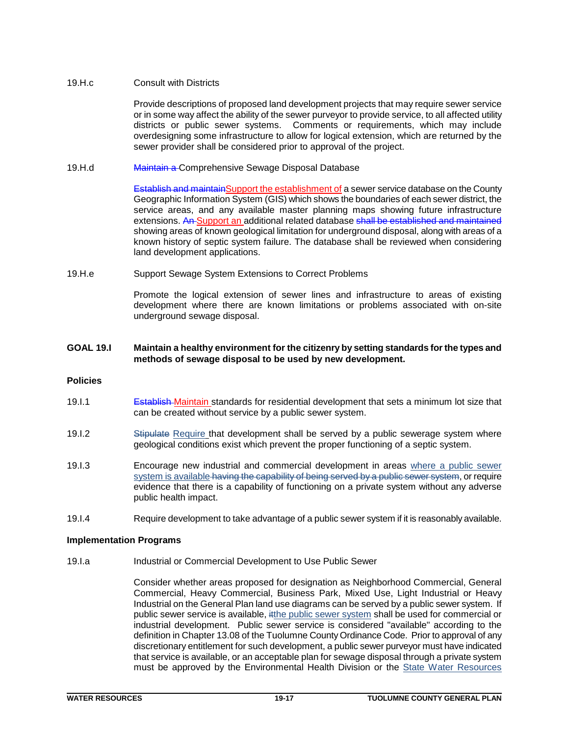## 19.H.c Consult with Districts

Provide descriptions of proposed land development projects that may require sewer service or in some way affect the ability of the sewer purveyor to provide service, to all affected utility districts or public sewer systems. Comments or requirements, which may include overdesigning some infrastructure to allow for logical extension, which are returned by the sewer provider shall be considered prior to approval of the project.

19.H.d Maintain a Comprehensive Sewage Disposal Database

**Establish and maintainSupport the establishment of a sewer service database on the County** Geographic Information System (GIS) which shows the boundaries of each sewer district, the service areas, and any available master planning maps showing future infrastructure extensions. An Support an additional related database shall be established and maintained showing areas of known geological limitation for underground disposal, along with areas of a known history of septic system failure. The database shall be reviewed when considering land development applications.

19.H.e Support Sewage System Extensions to Correct Problems

Promote the logical extension of sewer lines and infrastructure to areas of existing development where there are known limitations or problems associated with on-site underground sewage disposal.

## **GOAL 19.I Maintain a healthy environment for the citizenry by setting standards for the types and methods of sewage disposal to be used by new development.**

## **Policies**

- 19.I.1 **Establish Maintain standards for residential development that sets a minimum lot size that** can be created without service by a public sewer system.
- 19.I.2 Stipulate Require that development shall be served by a public sewerage system where geological conditions exist which prevent the proper functioning of a septic system.
- 19.I.3 Encourage new industrial and commercial development in areas where a public sewer system is available having the capability of being served by a public sewer system, or require evidence that there is a capability of functioning on a private system without any adverse public health impact.
- 19.I.4 Require development to take advantage of a public sewer system if it is reasonably available.

## **Implementation Programs**

19.I.a Industrial or Commercial Development to Use Public Sewer

Consider whether areas proposed for designation as Neighborhood Commercial, General Commercial, Heavy Commercial, Business Park, Mixed Use, Light Industrial or Heavy Industrial on the General Plan land use diagrams can be served by a public sewer system. If public sewer service is available, itthe public sewer system shall be used for commercial or industrial development. Public sewer service is considered "available" according to the definition in Chapter 13.08 of the Tuolumne County Ordinance Code. Prior to approval of any discretionary entitlement for such development, a public sewer purveyor must have indicated that service is available, or an acceptable plan for sewage disposal through a private system must be approved by the Environmental Health Division or the State Water Resources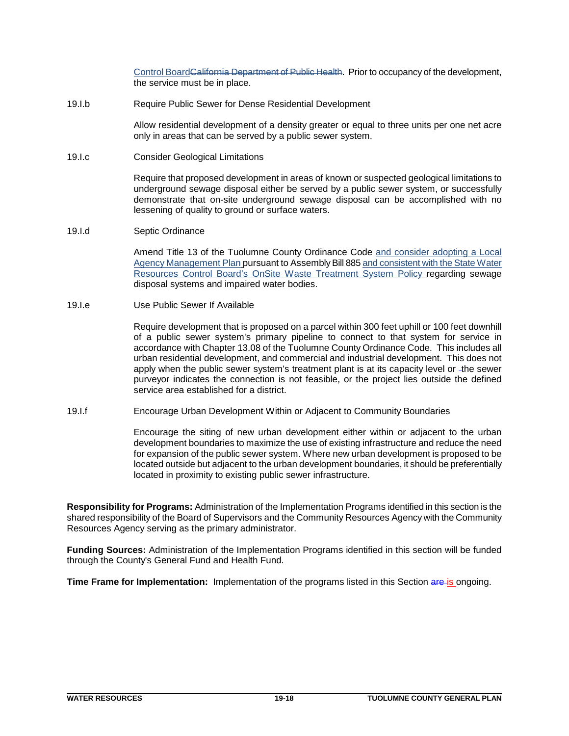Control BoardCalifornia Department of Public Health. Prior to occupancy of the development, the service must be in place.

19.I.b Require Public Sewer for Dense Residential Development

Allow residential development of a density greater or equal to three units per one net acre only in areas that can be served by a public sewer system.

19.I.c Consider Geological Limitations

Require that proposed development in areas of known or suspected geological limitations to underground sewage disposal either be served by a public sewer system, or successfully demonstrate that on-site underground sewage disposal can be accomplished with no lessening of quality to ground or surface waters.

19.I.d Septic Ordinance

Amend Title 13 of the Tuolumne County Ordinance Code and consider adopting a Local Agency Management Plan pursuant to Assembly Bill 885 and consistent with the State Water Resources Control Board's OnSite Waste Treatment System Policy regarding sewage disposal systems and impaired water bodies.

19.I.e Use Public Sewer If Available

Require development that is proposed on a parcel within 300 feet uphill or 100 feet downhill of a public sewer system's primary pipeline to connect to that system for service in accordance with Chapter 13.08 of the Tuolumne County Ordinance Code. This includes all urban residential development, and commercial and industrial development. This does not apply when the public sewer system's treatment plant is at its capacity level or -the sewer purveyor indicates the connection is not feasible, or the project lies outside the defined service area established for a district.

19.I.f Encourage Urban Development Within or Adjacent to Community Boundaries

Encourage the siting of new urban development either within or adjacent to the urban development boundaries to maximize the use of existing infrastructure and reduce the need for expansion of the public sewer system. Where new urban development is proposed to be located outside but adjacent to the urban development boundaries, it should be preferentially located in proximity to existing public sewer infrastructure.

**Responsibility for Programs:** Administration of the Implementation Programs identified in this section is the shared responsibility of the Board of Supervisors and the Community Resources Agency with the Community Resources Agency serving as the primary administrator.

**Funding Sources:** Administration of the Implementation Programs identified in this section will be funded through the County's General Fund and Health Fund.

**Time Frame for Implementation:** Implementation of the programs listed in this Section are-is ongoing.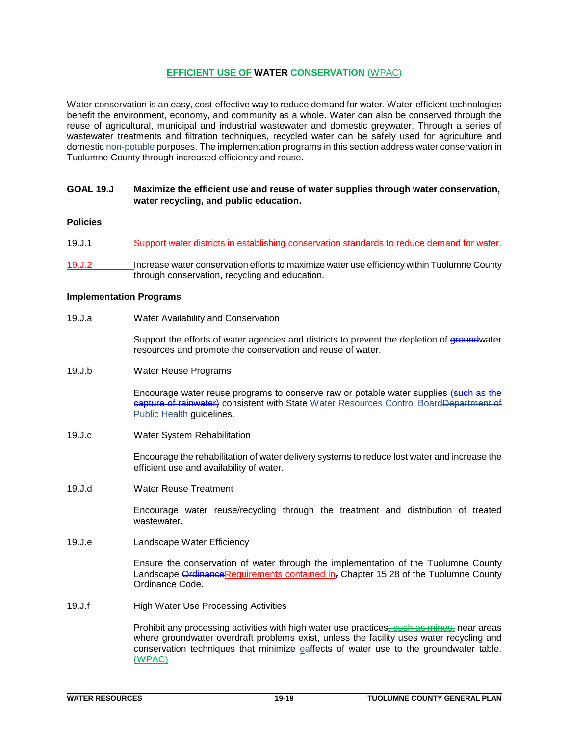## **EFFICIENT USE OF WATER CONSERVATION** (WPAC)

Water conservation is an easy, cost-effective way to reduce demand for water. Water-efficient technologies benefit the environment, economy, and community as a whole. Water can also be conserved through the reuse of agricultural, municipal and industrial wastewater and domestic greywater. Through a series of wastewater treatments and filtration techniques, recycled water can be safely used for agriculture and domestic non-potable purposes. The implementation programs in this section address water conservation in Tuolumne County through increased efficiency and reuse.

## **GOAL 19.J Maximize the efficient use and reuse of water supplies through water conservation, water recycling, and public education.**

## **Policies**

- 19.J.1 Support water districts in establishing conservation standards to reduce demand for water.
- 19.J.2 Increase water conservation efforts to maximize water use efficiency within Tuolumne County through conservation, recycling and education.

#### **Implementation Programs**

19.J.a Water Availability and Conservation

Support the efforts of water agencies and districts to prevent the depletion of groundwater resources and promote the conservation and reuse of water.

19.J.b Water Reuse Programs

Encourage water reuse programs to conserve raw or potable water supplies (such as the capture of rainwater) consistent with State Water Resources Control BoardDepartment of Public Health guidelines.

19.J.c Water System Rehabilitation

Encourage the rehabilitation of water delivery systems to reduce lost water and increase the efficient use and availability of water.

19.J.d Water Reuse Treatment

Encourage water reuse/recycling through the treatment and distribution of treated wastewater.

19.J.e Landscape Water Efficiency

Ensure the conservation of water through the implementation of the Tuolumne County Landscape OrdinanceRequirements contained  $in_{\tau}$  Chapter 15.28 of the Tuolumne County Ordinance Code.

19.J.f High Water Use Processing Activities

Prohibit any processing activities with high water use practices, such as mines, near areas where groundwater overdraft problems exist, unless the facility uses water recycling and conservation techniques that minimize eaffects of water use to the groundwater table. (WPAC)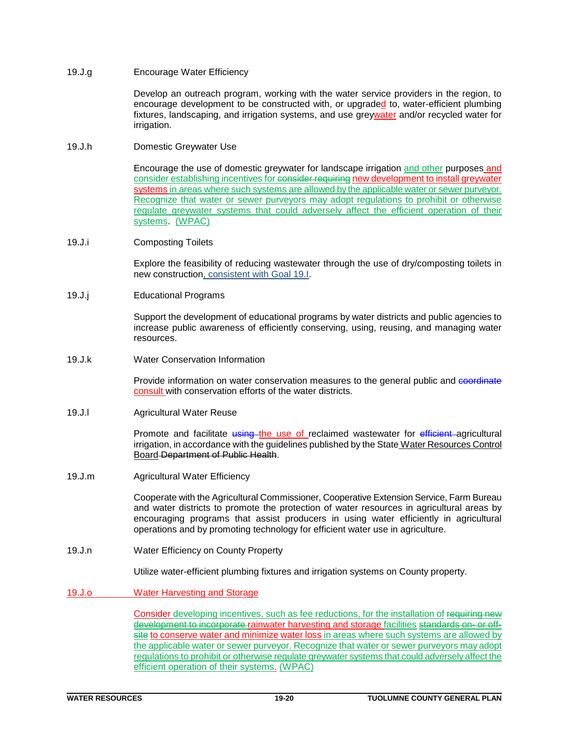## 19.J.g Encourage Water Efficiency

Develop an outreach program, working with the water service providers in the region, to encourage development to be constructed with, or upgraded to, water-efficient plumbing fixtures, landscaping, and irrigation systems, and use greywater and/or recycled water for irrigation.

## 19.J.h Domestic Greywater Use

Encourage the use of domestic greywater for landscape irrigation and other purposes and consider establishing incentives for consider requiring new development to install greywater systems in areas where such systems are allowed by the applicable water or sewer purveyor. Recognize that water or sewer purveyors may adopt regulations to prohibit or otherwise regulate greywater systems that could adversely affect the efficient operation of their systems. (WPAC)

## 19.J.i Composting Toilets

Explore the feasibility of reducing wastewater through the use of dry/composting toilets in new construction, consistent with Goal 19.I.

## 19.J.j Educational Programs

Support the development of educational programs by water districts and public agencies to increase public awareness of efficiently conserving, using, reusing, and managing water resources.

19.J.k Water Conservation Information

Provide information on water conservation measures to the general public and coordinate consult with conservation efforts of the water districts.

## 19.J.l Agricultural Water Reuse

Promote and facilitate using the use of reclaimed wastewater for efficient agricultural irrigation, in accordance with the guidelines published by the State Water Resources Control Board Department of Public Health.

19.J.m Agricultural Water Efficiency

Cooperate with the Agricultural Commissioner, Cooperative Extension Service, Farm Bureau and water districts to promote the protection of water resources in agricultural areas by encouraging programs that assist producers in using water efficiently in agricultural operations and by promoting technology for efficient water use in agriculture.

19.J.n Water Efficiency on County Property

Utilize water-efficient plumbing fixtures and irrigation systems on County property.

19.J.o Water Harvesting and Storage

Consider developing incentives, such as fee reductions, for the installation of requiring new development to incorporate rainwater harvesting and storage facilities standards on- or offsite to conserve water and minimize water loss in areas where such systems are allowed by the applicable water or sewer purveyor. Recognize that water or sewer purveyors may adopt regulations to prohibit or otherwise regulate greywater systems that could adversely affect the efficient operation of their systems. (WPAC)